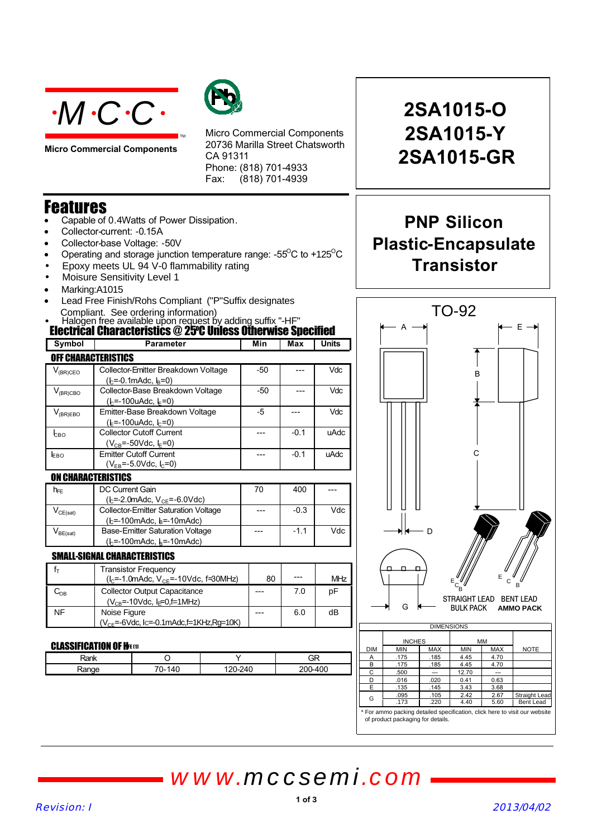

**Micro Commercial Components**



Micro Commercial Components 20736 Marilla Street Chatsworth CA 91311 Phone: (818) 701-4933 Fax: (818) 701-4939

## Features

- Capable of 0.4Watts of Power Dissipation.
- Collector-current: 0.15A
- Collector-base Voltage: -50V
- Operating and storage junction temperature range: - $55^{\circ}$ C to +125 $^{\circ}$ C
- Epoxy meets UL 94 V-0 flammability rating
- Moisure Sensitivity Level 1
- Marking:A1015
- Lead Free Finish/Rohs Compliant ("P"Suffix designates Compliant. See ordering information)
- Halogen free available upon request by adding suffix "-HF"

| <b>Electrical Characteristics @ 25°C Unless Otherwise Specified</b> |                                                                                       |     |            |       |  |
|---------------------------------------------------------------------|---------------------------------------------------------------------------------------|-----|------------|-------|--|
| Symbol                                                              | <b>Parameter</b>                                                                      | Min | <b>Max</b> | Units |  |
| <b>OFF CHARACTERISTICS</b>                                          |                                                                                       |     |            |       |  |
| $V_{(BR)CEO}$                                                       | Collector-Emitter Breakdown Voltage<br>$(lc=0.1mAdc, lB=0)$                           | -50 |            | Vdc   |  |
| $V_{(BR)CBO}$                                                       | Collector-Base Breakdown Voltage<br>$(h=100u$ Adc, $I_E=0)$                           | -50 |            | Vdc   |  |
| $V_{(BR)EBO}$                                                       | Emitter-Base Breakdown Voltage<br>( $k = -100$ uAdc, $k = 0$ )                        | -5  |            | Vdc   |  |
| <b>LBO</b>                                                          | <b>Collector Cutoff Current</b><br>$(V_{CB} = -50$ Vdc, $E = 0$                       |     | $-0.1$     | uAdc  |  |
| <b>EBO</b>                                                          | <b>Emitter Cutoff Current</b><br>$(V_{FB} = -5.0$ Vdc, $I_C = 0$ )                    |     | $-0.1$     | uAdc  |  |
| <b>ON CHARACTERISTICS</b>                                           |                                                                                       |     |            |       |  |
| $h_{FE}$                                                            | DC Current Gain<br>(b=-2.0mAdc, V <sub>CE</sub> =-6.0Vdc)                             | 70  | 400        |       |  |
| $V_{CE(sat)}$                                                       | <b>Collector-Emitter Saturation Voltage</b><br>(b=-100mAdc, b=-10mAdc)                |     | $-0.3$     | Vdc   |  |
| $V_{BE(sat)}$                                                       | <b>Base-Emitter Saturation Voltage</b><br>$(k=100 \text{m}$ Adc, $k=10 \text{m}$ Adc) |     | $-1.1$     | Vdc   |  |

### SMALL-SIGNAL CHARACTERISTICS

|     | <b>Transistor Frequency</b><br>$(lc=-1.0mAdc, Vc=-10Vdc, f=30MHz)$            | 80 | --- | MHz |
|-----|-------------------------------------------------------------------------------|----|-----|-----|
| ∪∩ล | <b>Collector Output Capacitance</b><br>$(V_{CB} = -10Vdc, I_F = 0, f = 1MHz)$ |    | 7.0 | рF  |
| NF  | Noise Figure<br>$(V_{CF} = -6$ Vdc, Ic=-0.1mAdc, f=1KHz, Rq=10K)              | .  | 6.0 | dB  |

#### CLASSIFICATION OF HEED

| ומה<br>$\sim$ |  | --<br>GR |
|---------------|--|----------|
| ື             |  | `∩∩ '    |

# **2SA1015-O 2SA1015-Y 2SA1015-GR**

## **PNP Silicon Plastic-Encapsulate Transistor**



For ammo packing detailed specification, click here to visit our website of product packaging for details.

*www.mccsemi.com*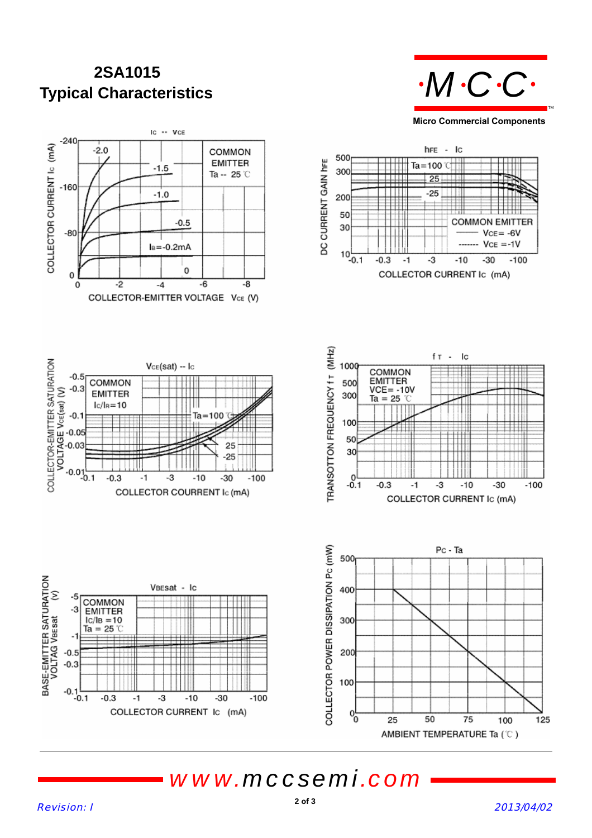## **Typical Characteristics 2SA1015**





*www.mccsemi.com*